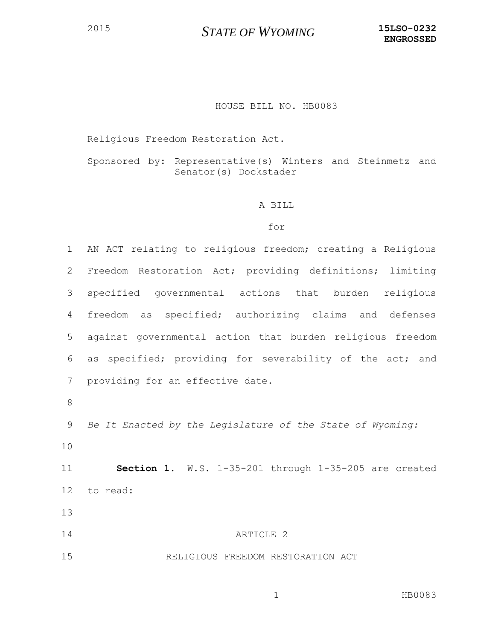### HOUSE BILL NO. HB0083

Religious Freedom Restoration Act.

Sponsored by: Representative(s) Winters and Steinmetz and Senator(s) Dockstader

#### A BILL

#### for

 AN ACT relating to religious freedom; creating a Religious Freedom Restoration Act; providing definitions; limiting specified governmental actions that burden religious freedom as specified; authorizing claims and defenses against governmental action that burden religious freedom as specified; providing for severability of the act; and providing for an effective date. *Be It Enacted by the Legislature of the State of Wyoming:* **Section 1.** W.S. 1-35-201 through 1-35-205 are created to read: ARTICLE 2

## RELIGIOUS FREEDOM RESTORATION ACT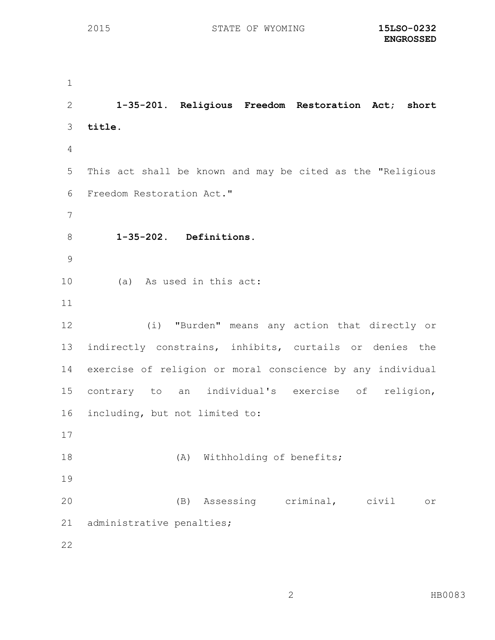**1-35-201. Religious Freedom Restoration Act; short title.** This act shall be known and may be cited as the "Religious Freedom Restoration Act." **1-35-202. Definitions.** (a) As used in this act: (i) "Burden" means any action that directly or indirectly constrains, inhibits, curtails or denies the exercise of religion or moral conscience by any individual contrary to an individual's exercise of religion, including, but not limited to: 18 (A) Withholding of benefits; (B) Assessing criminal, civil or administrative penalties;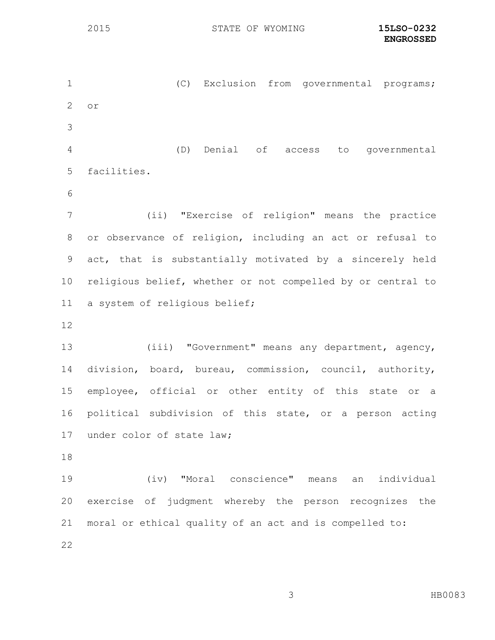(C) Exclusion from governmental programs; or (D) Denial of access to governmental facilities. (ii) "Exercise of religion" means the practice or observance of religion, including an act or refusal to act, that is substantially motivated by a sincerely held religious belief, whether or not compelled by or central to a system of religious belief; (iii) "Government" means any department, agency, division, board, bureau, commission, council, authority, employee, official or other entity of this state or a political subdivision of this state, or a person acting under color of state law; (iv) "Moral conscience" means an individual exercise of judgment whereby the person recognizes the moral or ethical quality of an act and is compelled to: 

HB0083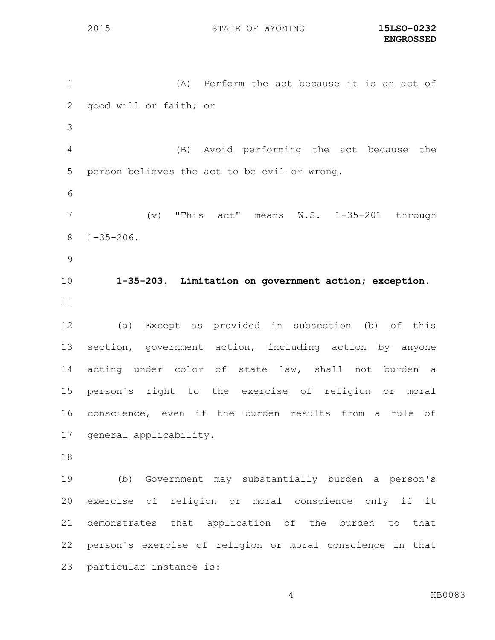(A) Perform the act because it is an act of good will or faith; or (B) Avoid performing the act because the person believes the act to be evil or wrong. (v) "This act" means W.S. 1-35-201 through 1-35-206. **1-35-203. Limitation on government action; exception.** (a) Except as provided in subsection (b) of this section, government action, including action by anyone acting under color of state law, shall not burden a person's right to the exercise of religion or moral conscience, even if the burden results from a rule of general applicability. (b) Government may substantially burden a person's exercise of religion or moral conscience only if it demonstrates that application of the burden to that person's exercise of religion or moral conscience in that particular instance is: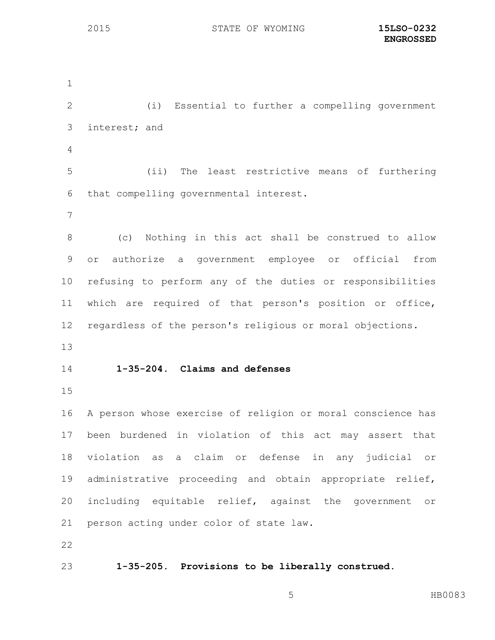(i) Essential to further a compelling government interest; and (ii) The least restrictive means of furthering that compelling governmental interest. (c) Nothing in this act shall be construed to allow or authorize a government employee or official from refusing to perform any of the duties or responsibilities which are required of that person's position or office, regardless of the person's religious or moral objections. **1-35-204. Claims and defenses** A person whose exercise of religion or moral conscience has been burdened in violation of this act may assert that violation as a claim or defense in any judicial or administrative proceeding and obtain appropriate relief, including equitable relief, against the government or person acting under color of state law. **1-35-205. Provisions to be liberally construed.**